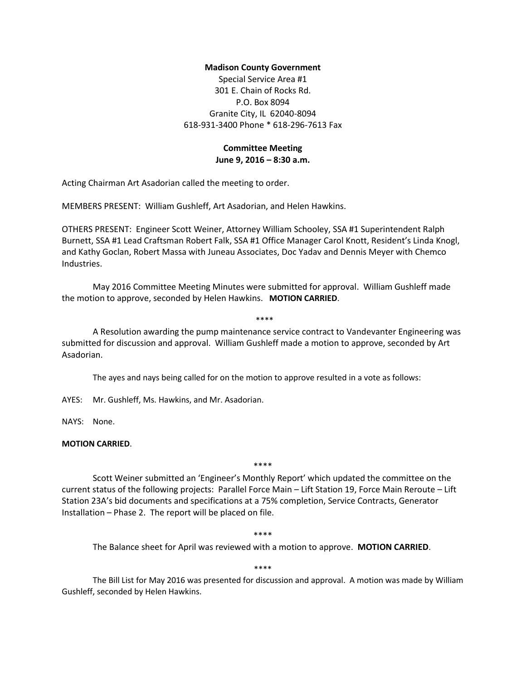## **Madison County Government**

Special Service Area #1 301 E. Chain of Rocks Rd. P.O. Box 8094 Granite City, IL 62040-8094 618-931-3400 Phone \* 618-296-7613 Fax

## **Committee Meeting**

**June 9, 2016 – 8:30 a.m.**

Acting Chairman Art Asadorian called the meeting to order.

MEMBERS PRESENT: William Gushleff, Art Asadorian, and Helen Hawkins.

OTHERS PRESENT: Engineer Scott Weiner, Attorney William Schooley, SSA #1 Superintendent Ralph Burnett, SSA #1 Lead Craftsman Robert Falk, SSA #1 Office Manager Carol Knott, Resident's Linda Knogl, and Kathy Goclan, Robert Massa with Juneau Associates, Doc Yadav and Dennis Meyer with Chemco Industries.

May 2016 Committee Meeting Minutes were submitted for approval. William Gushleff made the motion to approve, seconded by Helen Hawkins. **MOTION CARRIED**.

\*\*\*\*

A Resolution awarding the pump maintenance service contract to Vandevanter Engineering was submitted for discussion and approval. William Gushleff made a motion to approve, seconded by Art Asadorian.

The ayes and nays being called for on the motion to approve resulted in a vote as follows:

AYES: Mr. Gushleff, Ms. Hawkins, and Mr. Asadorian.

NAYS: None.

## **MOTION CARRIED**.

\*\*\*\*

Scott Weiner submitted an 'Engineer's Monthly Report' which updated the committee on the current status of the following projects: Parallel Force Main – Lift Station 19, Force Main Reroute – Lift Station 23A's bid documents and specifications at a 75% completion, Service Contracts, Generator Installation – Phase 2. The report will be placed on file.

\*\*\*\*

The Balance sheet for April was reviewed with a motion to approve. **MOTION CARRIED**.

\*\*\*\*

The Bill List for May 2016 was presented for discussion and approval. A motion was made by William Gushleff, seconded by Helen Hawkins.